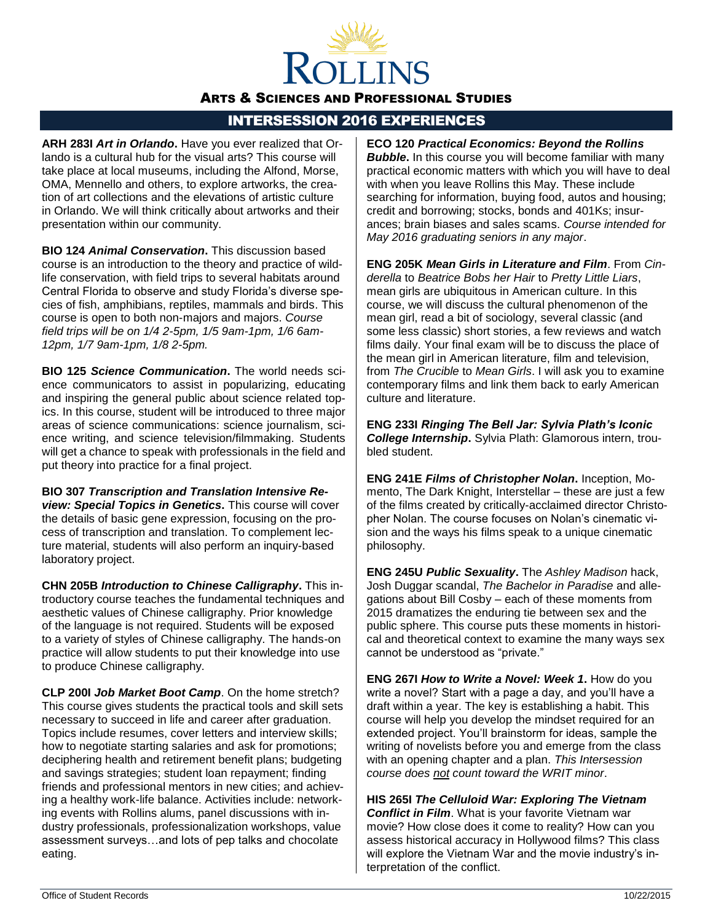

ARTS & SCIENCES AND PROFESSIONAL STUDIES

# INTERSESSION 2016 EXPERIENCES

**ARH 283I** *Art in Orlando***.** Have you ever realized that Orlando is a cultural hub for the visual arts? This course will take place at local museums, including the Alfond, Morse, OMA, Mennello and others, to explore artworks, the creation of art collections and the elevations of artistic culture in Orlando. We will think critically about artworks and their presentation within our community.

**BIO 124** *Animal Conservation***.** This discussion based course is an introduction to the theory and practice of wildlife conservation, with field trips to several habitats around Central Florida to observe and study Florida's diverse species of fish, amphibians, reptiles, mammals and birds. This course is open to both non-majors and majors. *Course field trips will be on 1/4 2-5pm, 1/5 9am-1pm, 1/6 6am-12pm, 1/7 9am-1pm, 1/8 2-5pm.*

**BIO 125** *Science Communication***.** The world needs science communicators to assist in popularizing, educating and inspiring the general public about science related topics. In this course, student will be introduced to three major areas of science communications: science journalism, science writing, and science television/filmmaking. Students will get a chance to speak with professionals in the field and put theory into practice for a final project.

**BIO 307** *Transcription and Translation Intensive Review: Special Topics in Genetics***.** This course will cover the details of basic gene expression, focusing on the process of transcription and translation. To complement lecture material, students will also perform an inquiry-based laboratory project.

**CHN 205B** *Introduction to Chinese Calligraphy***.** This introductory course teaches the fundamental techniques and aesthetic values of Chinese calligraphy. Prior knowledge of the language is not required. Students will be exposed to a variety of styles of Chinese calligraphy. The hands-on practice will allow students to put their knowledge into use to produce Chinese calligraphy.

**CLP 200I** *Job Market Boot Camp*. On the home stretch? This course gives students the practical tools and skill sets necessary to succeed in life and career after graduation. Topics include resumes, cover letters and interview skills; how to negotiate starting salaries and ask for promotions; deciphering health and retirement benefit plans; budgeting and savings strategies; student loan repayment; finding friends and professional mentors in new cities; and achieving a healthy work-life balance. Activities include: networking events with Rollins alums, panel discussions with industry professionals, professionalization workshops, value assessment surveys…and lots of pep talks and chocolate eating.

**ECO 120** *Practical Economics: Beyond the Rollins Bubble***.** In this course you will become familiar with many practical economic matters with which you will have to deal with when you leave Rollins this May. These include searching for information, buying food, autos and housing; credit and borrowing; stocks, bonds and 401Ks; insurances; brain biases and sales scams. *Course intended for May 2016 graduating seniors in any major*.

**ENG 205K** *Mean Girls in Literature and Film*. From *Cinderella* to *Beatrice Bobs her Hair* to *Pretty Little Liars*, mean girls are ubiquitous in American culture. In this course, we will discuss the cultural phenomenon of the mean girl, read a bit of sociology, several classic (and some less classic) short stories, a few reviews and watch films daily. Your final exam will be to discuss the place of the mean girl in American literature, film and television, from *The Crucible* to *Mean Girls*. I will ask you to examine contemporary films and link them back to early American culture and literature.

**ENG 233I** *Ringing The Bell Jar: Sylvia Plath's Iconic College Internship***.** Sylvia Plath: Glamorous intern, troubled student.

**ENG 241E** *Films of Christopher Nolan***.** Inception, Momento, The Dark Knight, Interstellar – these are just a few of the films created by critically-acclaimed director Christopher Nolan. The course focuses on Nolan's cinematic vision and the ways his films speak to a unique cinematic philosophy.

**ENG 245U** *Public Sexuality***.** The *Ashley Madison* hack, Josh Duggar scandal, *The Bachelor in Paradise* and allegations about Bill Cosby – each of these moments from 2015 dramatizes the enduring tie between sex and the public sphere. This course puts these moments in historical and theoretical context to examine the many ways sex cannot be understood as "private."

**ENG 267I** *How to Write a Novel: Week 1***.** How do you write a novel? Start with a page a day, and you'll have a draft within a year. The key is establishing a habit. This course will help you develop the mindset required for an extended project. You'll brainstorm for ideas, sample the writing of novelists before you and emerge from the class with an opening chapter and a plan. *This Intersession course does not count toward the WRIT minor*.

**HIS 265I** *The Celluloid War: Exploring The Vietnam Conflict in Film*. What is your favorite Vietnam war movie? How close does it come to reality? How can you assess historical accuracy in Hollywood films? This class will explore the Vietnam War and the movie industry's interpretation of the conflict.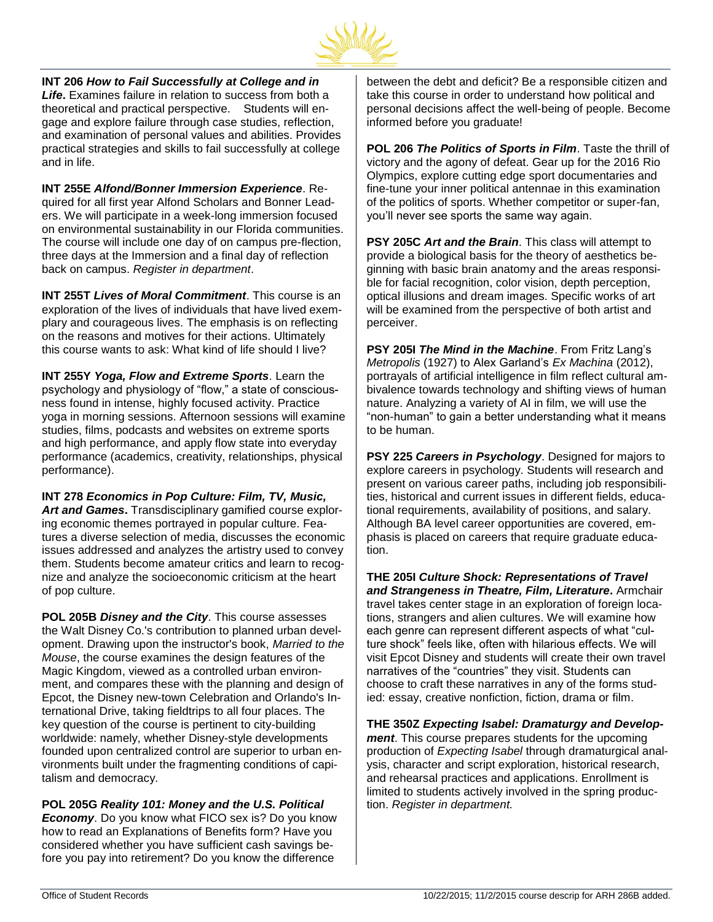

**INT 206** *How to Fail Successfully at College and in Life***.** Examines failure in relation to success from both a theoretical and practical perspective. Students will engage and explore failure through case studies, reflection, and examination of personal values and abilities. Provides practical strategies and skills to fail successfully at college and in life.

**INT 255E** *Alfond/Bonner Immersion Experience*. Required for all first year Alfond Scholars and Bonner Leaders. We will participate in a week-long immersion focused on environmental sustainability in our Florida communities. The course will include one day of on campus pre-flection, three days at the Immersion and a final day of reflection back on campus. *Register in department*.

**INT 255T** *Lives of Moral Commitment*. This course is an exploration of the lives of individuals that have lived exemplary and courageous lives. The emphasis is on reflecting on the reasons and motives for their actions. Ultimately this course wants to ask: What kind of life should I live?

**INT 255Y** *Yoga, Flow and Extreme Sports*. Learn the psychology and physiology of "flow," a state of consciousness found in intense, highly focused activity. Practice yoga in morning sessions. Afternoon sessions will examine studies, films, podcasts and websites on extreme sports and high performance, and apply flow state into everyday performance (academics, creativity, relationships, physical performance).

**INT 278** *Economics in Pop Culture: Film, TV, Music, Art and Games***.** Transdisciplinary gamified course exploring economic themes portrayed in popular culture. Features a diverse selection of media, discusses the economic issues addressed and analyzes the artistry used to convey them. Students become amateur critics and learn to recognize and analyze the socioeconomic criticism at the heart of pop culture.

**POL 205B** *Disney and the City*. This course assesses the Walt Disney Co.'s contribution to planned urban development. Drawing upon the instructor's book, *Married to the Mouse*, the course examines the design features of the Magic Kingdom, viewed as a controlled urban environment, and compares these with the planning and design of Epcot, the Disney new-town Celebration and Orlando's International Drive, taking fieldtrips to all four places. The key question of the course is pertinent to city-building worldwide: namely, whether Disney-style developments founded upon centralized control are superior to urban environments built under the fragmenting conditions of capitalism and democracy.

**POL 205G** *Reality 101: Money and the U.S. Political Economy*. Do you know what FICO sex is? Do you know how to read an Explanations of Benefits form? Have you considered whether you have sufficient cash savings before you pay into retirement? Do you know the difference

between the debt and deficit? Be a responsible citizen and take this course in order to understand how political and personal decisions affect the well-being of people. Become informed before you graduate!

**POL 206** *The Politics of Sports in Film*. Taste the thrill of victory and the agony of defeat. Gear up for the 2016 Rio Olympics, explore cutting edge sport documentaries and fine-tune your inner political antennae in this examination of the politics of sports. Whether competitor or super-fan, you'll never see sports the same way again.

**PSY 205C** *Art and the Brain*. This class will attempt to provide a biological basis for the theory of aesthetics beginning with basic brain anatomy and the areas responsible for facial recognition, color vision, depth perception, optical illusions and dream images. Specific works of art will be examined from the perspective of both artist and perceiver.

**PSY 205I** *The Mind in the Machine*. From Fritz Lang's *Metropolis* (1927) to Alex Garland's *Ex Machina* (2012), portrayals of artificial intelligence in film reflect cultural ambivalence towards technology and shifting views of human nature. Analyzing a variety of AI in film, we will use the "non-human" to gain a better understanding what it means to be human.

**PSY 225** *Careers in Psychology*. Designed for majors to explore careers in psychology. Students will research and present on various career paths, including job responsibilities, historical and current issues in different fields, educational requirements, availability of positions, and salary. Although BA level career opportunities are covered, emphasis is placed on careers that require graduate education.

**THE 205I** *Culture Shock: Representations of Travel and Strangeness in Theatre, Film, Literature***.** Armchair travel takes center stage in an exploration of foreign locations, strangers and alien cultures. We will examine how each genre can represent different aspects of what "culture shock" feels like, often with hilarious effects. We will visit Epcot Disney and students will create their own travel narratives of the "countries" they visit. Students can choose to craft these narratives in any of the forms studied: essay, creative nonfiction, fiction, drama or film.

**THE 350Z** *Expecting Isabel: Dramaturgy and Development*. This course prepares students for the upcoming production of *Expecting Isabel* through dramaturgical analysis, character and script exploration, historical research, and rehearsal practices and applications. Enrollment is limited to students actively involved in the spring production. *Register in department.*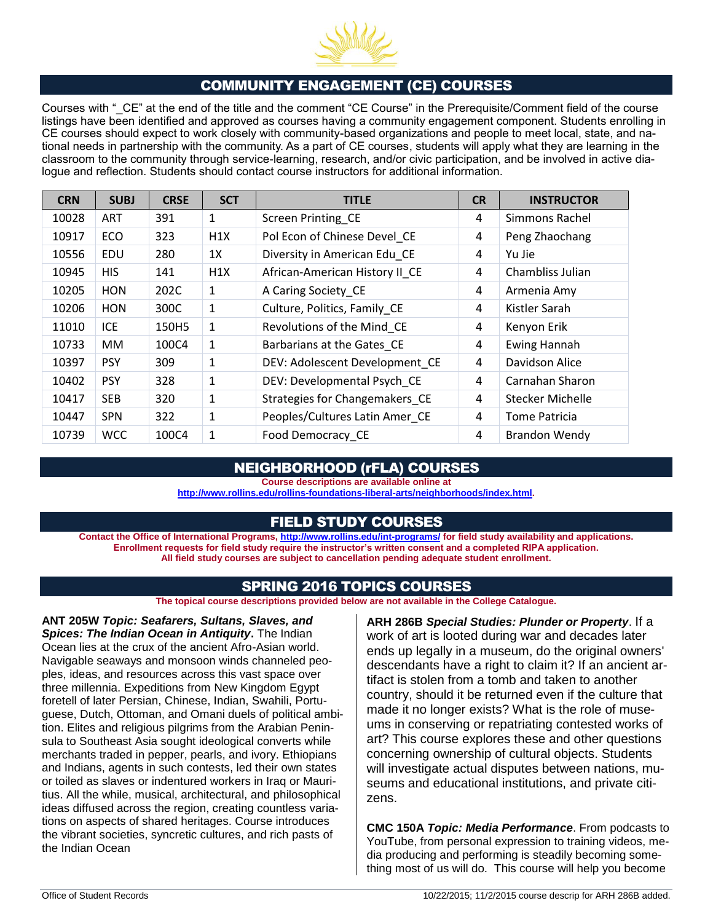

## COMMUNITY ENGAGEMENT (CE) COURSES

Courses with "\_CE" at the end of the title and the comment "CE Course" in the Prerequisite/Comment field of the course listings have been identified and approved as courses having a community engagement component. Students enrolling in CE courses should expect to work closely with community-based organizations and people to meet local, state, and national needs in partnership with the community. As a part of CE courses, students will apply what they are learning in the classroom to the community through service-learning, research, and/or civic participation, and be involved in active dialogue and reflection. Students should contact course instructors for additional information.

| <b>CRN</b> | <b>SUBJ</b> | <b>CRSE</b> | <b>SCT</b>   | <b>TITLE</b>                   | <b>CR</b> | <b>INSTRUCTOR</b>       |
|------------|-------------|-------------|--------------|--------------------------------|-----------|-------------------------|
| 10028      | <b>ART</b>  | 391         | $\mathbf{1}$ | Screen Printing CE             | 4         | Simmons Rachel          |
| 10917      | <b>ECO</b>  | 323         | H1X          | Pol Econ of Chinese Devel CE   | 4         | Peng Zhaochang          |
| 10556      | EDU         | 280         | 1X           | Diversity in American Edu CE   | 4         | Yu Jie                  |
| 10945      | <b>HIS</b>  | 141         | H1X          | African-American History II CE | 4         | Chambliss Julian        |
| 10205      | <b>HON</b>  | 202C        | 1            | A Caring Society CE            | 4         | Armenia Amy             |
| 10206      | <b>HON</b>  | 300C        | $\mathbf{1}$ | Culture, Politics, Family_CE   | 4         | Kistler Sarah           |
| 11010      | <b>ICE</b>  | 150H5       | $\mathbf{1}$ | Revolutions of the Mind CE     | 4         | Kenyon Erik             |
| 10733      | МM          | 100C4       | 1            | Barbarians at the Gates CE     | 4         | Ewing Hannah            |
| 10397      | <b>PSY</b>  | 309         | $\mathbf{1}$ | DEV: Adolescent Development CE | 4         | Davidson Alice          |
| 10402      | <b>PSY</b>  | 328         | 1            | DEV: Developmental Psych CE    | 4         | Carnahan Sharon         |
| 10417      | <b>SEB</b>  | 320         | 1            | Strategies for Changemakers CE | 4         | <b>Stecker Michelle</b> |
| 10447      | <b>SPN</b>  | 322         | $\mathbf{1}$ | Peoples/Cultures Latin Amer CE | 4         | Tome Patricia           |
| 10739      | <b>WCC</b>  | 100C4       | 1            | Food Democracy CE              | 4         | <b>Brandon Wendy</b>    |

## NEIGHBORHOOD (rFLA) COURSES

**Course descriptions are available online at**

**[http://www.rollins.edu/rollins-foundations-liberal-arts/neighborhoods/index.html.](http://www.rollins.edu/rollins-foundations-liberal-arts/neighborhoods/index.html)**

## FIELD STUDY COURSES

**Contact the Office of International Programs,<http://www.rollins.edu/int-programs/> for field study availability and applications. Enrollment requests for field study require the instructor's written consent and a completed RIPA application. All field study courses are subject to cancellation pending adequate student enrollment.**

## SPRING 2016 TOPICS COURSES

**The topical course descriptions provided below are not available in the College Catalogue.**

**ANT 205W** *Topic: Seafarers, Sultans, Slaves, and Spices: The Indian Ocean in Antiquity***.** The Indian Ocean lies at the crux of the ancient Afro-Asian world. Navigable seaways and monsoon winds channeled peoples, ideas, and resources across this vast space over three millennia. Expeditions from New Kingdom Egypt foretell of later Persian, Chinese, Indian, Swahili, Portuguese, Dutch, Ottoman, and Omani duels of political ambition. Elites and religious pilgrims from the Arabian Peninsula to Southeast Asia sought ideological converts while merchants traded in pepper, pearls, and ivory. Ethiopians and Indians, agents in such contests, led their own states or toiled as slaves or indentured workers in Iraq or Mauritius. All the while, musical, architectural, and philosophical ideas diffused across the region, creating countless variations on aspects of shared heritages. Course introduces the vibrant societies, syncretic cultures, and rich pasts of the Indian Ocean

**ARH 286B** *Special Studies: Plunder or Property*. If a work of art is looted during war and decades later ends up legally in a museum, do the original owners' descendants have a right to claim it? If an ancient artifact is stolen from a tomb and taken to another country, should it be returned even if the culture that made it no longer exists? What is the role of museums in conserving or repatriating contested works of art? This course explores these and other questions concerning ownership of cultural objects. Students will investigate actual disputes between nations, museums and educational institutions, and private citizens.

**CMC 150A** *Topic: Media Performance*. From podcasts to YouTube, from personal expression to training videos, media producing and performing is steadily becoming something most of us will do. This course will help you become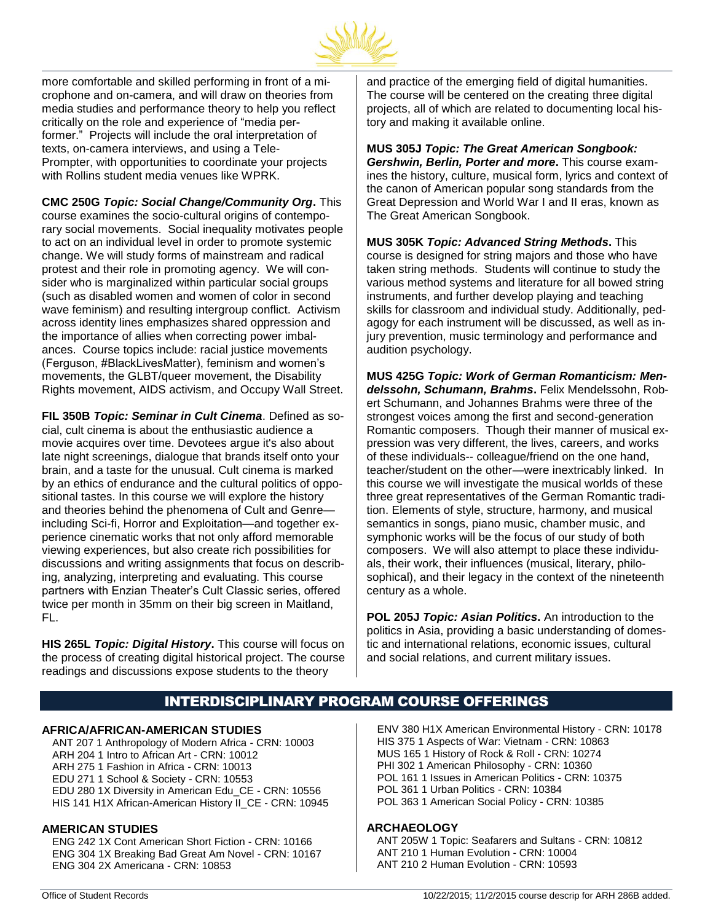

more comfortable and skilled performing in front of a microphone and on-camera, and will draw on theories from media studies and performance theory to help you reflect critically on the role and experience of "media performer." Projects will include the oral interpretation of texts, on-camera interviews, and using a Tele-Prompter, with opportunities to coordinate your projects with Rollins student media venues like WPRK.

**CMC 250G** *Topic: Social Change/Community Org***.** This course examines the socio-cultural origins of contemporary social movements. Social inequality motivates people to act on an individual level in order to promote systemic change. We will study forms of mainstream and radical protest and their role in promoting agency. We will consider who is marginalized within particular social groups (such as disabled women and women of color in second wave feminism) and resulting intergroup conflict. Activism across identity lines emphasizes shared oppression and the importance of allies when correcting power imbalances. Course topics include: racial justice movements (Ferguson, #BlackLivesMatter), feminism and women's movements, the GLBT/queer movement, the Disability Rights movement, AIDS activism, and Occupy Wall Street.

**FIL 350B** *Topic: Seminar in Cult Cinema*. Defined as social, cult cinema is about the enthusiastic audience a movie acquires over time. Devotees argue it's also about late night screenings, dialogue that brands itself onto your brain, and a taste for the unusual. Cult cinema is marked by an ethics of endurance and the cultural politics of oppositional tastes. In this course we will explore the history and theories behind the phenomena of Cult and Genre including Sci-fi, Horror and Exploitation—and together experience cinematic works that not only afford memorable viewing experiences, but also create rich possibilities for discussions and writing assignments that focus on describing, analyzing, interpreting and evaluating. This course partners with Enzian Theater's Cult Classic series, offered twice per month in 35mm on their big screen in Maitland, FL.

**HIS 265L** *Topic: Digital History***.** This course will focus on the process of creating digital historical project. The course readings and discussions expose students to the theory

and practice of the emerging field of digital humanities. The course will be centered on the creating three digital projects, all of which are related to documenting local history and making it available online.

**MUS 305J** *Topic: The Great American Songbook: Gershwin, Berlin, Porter and more***.** This course examines the history, culture, musical form, lyrics and context of the canon of American popular song standards from the Great Depression and World War I and II eras, known as The Great American Songbook.

**MUS 305K** *Topic: Advanced String Methods***.** This course is designed for string majors and those who have taken string methods. Students will continue to study the various method systems and literature for all bowed string instruments, and further develop playing and teaching skills for classroom and individual study. Additionally, pedagogy for each instrument will be discussed, as well as injury prevention, music terminology and performance and audition psychology.

**MUS 425G** *Topic: Work of German Romanticism: Mendelssohn, Schumann, Brahms***.** Felix Mendelssohn, Robert Schumann, and Johannes Brahms were three of the strongest voices among the first and second-generation Romantic composers. Though their manner of musical expression was very different, the lives, careers, and works of these individuals-- colleague/friend on the one hand, teacher/student on the other—were inextricably linked. In this course we will investigate the musical worlds of these three great representatives of the German Romantic tradition. Elements of style, structure, harmony, and musical semantics in songs, piano music, chamber music, and symphonic works will be the focus of our study of both composers. We will also attempt to place these individuals, their work, their influences (musical, literary, philosophical), and their legacy in the context of the nineteenth century as a whole.

**POL 205J** *Topic: Asian Politics***.** An introduction to the politics in Asia, providing a basic understanding of domestic and international relations, economic issues, cultural and social relations, and current military issues.

# INTERDISCIPLINARY PROGRAM COURSE OFFERINGS

## **AFRICA/AFRICAN-AMERICAN STUDIES**

ANT 207 1 Anthropology of Modern Africa - CRN: 10003 ARH 204 1 Intro to African Art - CRN: 10012 ARH 275 1 Fashion in Africa - CRN: 10013 EDU 271 1 School & Society - CRN: 10553 EDU 280 1X Diversity in American Edu\_CE - CRN: 10556 HIS 141 H1X African-American History II\_CE - CRN: 10945

## **AMERICAN STUDIES**

ENG 242 1X Cont American Short Fiction - CRN: 10166 ENG 304 1X Breaking Bad Great Am Novel - CRN: 10167 ENG 304 2X Americana - CRN: 10853

ENV 380 H1X American Environmental History - CRN: 10178 HIS 375 1 Aspects of War: Vietnam - CRN: 10863 MUS 165 1 History of Rock & Roll - CRN: 10274 PHI 302 1 American Philosophy - CRN: 10360 POL 161 1 Issues in American Politics - CRN: 10375 POL 361 1 Urban Politics - CRN: 10384 POL 363 1 American Social Policy - CRN: 10385

## **ARCHAEOLOGY**

ANT 205W 1 Topic: Seafarers and Sultans - CRN: 10812 ANT 210 1 Human Evolution - CRN: 10004 ANT 210 2 Human Evolution - CRN: 10593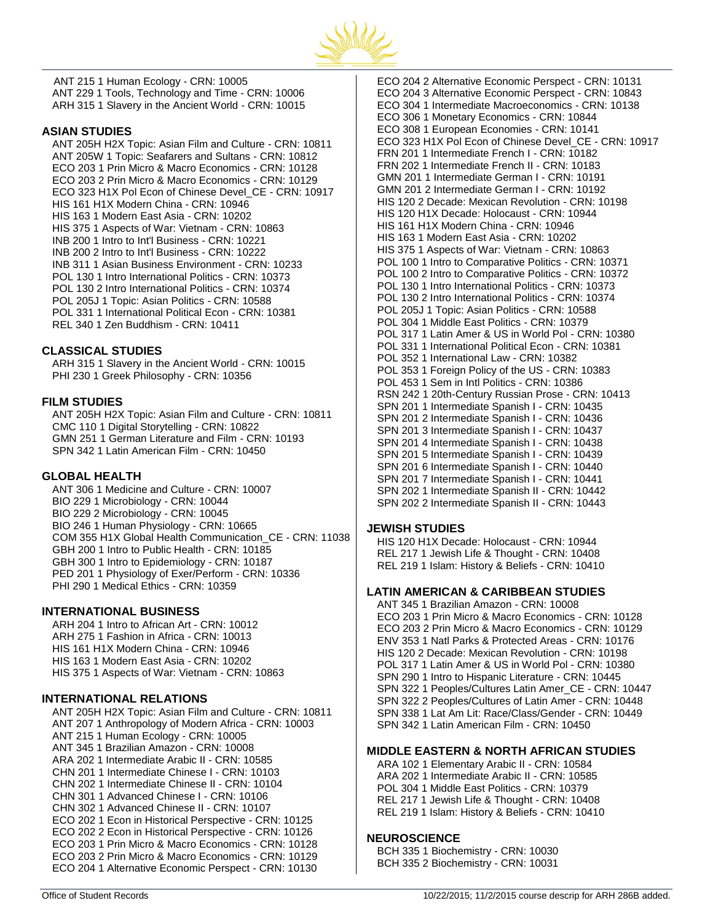

ANT 215 1 Human Ecology - CRN: 10005 ANT 229 1 Tools, Technology and Time - CRN: 10006 ARH 315 1 Slavery in the Ancient World - CRN: 10015

#### **ASIAN STUDIES**

ANT 205H H2X Topic: Asian Film and Culture - CRN: 10811 ANT 205W 1 Topic: Seafarers and Sultans - CRN: 10812 ECO 203 1 Prin Micro & Macro Economics - CRN: 10128 ECO 203 2 Prin Micro & Macro Economics - CRN: 10129 ECO 323 H1X Pol Econ of Chinese Devel\_CE - CRN: 10917 HIS 161 H1X Modern China - CRN: 10946 HIS 163 1 Modern East Asia - CRN: 10202 HIS 375 1 Aspects of War: Vietnam - CRN: 10863 INB 200 1 Intro to Int'l Business - CRN: 10221 INB 200 2 Intro to Int'l Business - CRN: 10222 INB 311 1 Asian Business Environment - CRN: 10233 POL 130 1 Intro International Politics - CRN: 10373 POL 130 2 Intro International Politics - CRN: 10374 POL 205J 1 Topic: Asian Politics - CRN: 10588 POL 331 1 International Political Econ - CRN: 10381 REL 340 1 Zen Buddhism - CRN: 10411

#### **CLASSICAL STUDIES**

ARH 315 1 Slavery in the Ancient World - CRN: 10015 PHI 230 1 Greek Philosophy - CRN: 10356

#### **FILM STUDIES**

ANT 205H H2X Topic: Asian Film and Culture - CRN: 10811 CMC 110 1 Digital Storytelling - CRN: 10822 GMN 251 1 German Literature and Film - CRN: 10193 SPN 342 1 Latin American Film - CRN: 10450

#### **GLOBAL HEALTH**

ANT 306 1 Medicine and Culture - CRN: 10007 BIO 229 1 Microbiology - CRN: 10044 BIO 229 2 Microbiology - CRN: 10045 BIO 246 1 Human Physiology - CRN: 10665 COM 355 H1X Global Health Communication\_CE - CRN: 11038 GBH 200 1 Intro to Public Health - CRN: 10185 GBH 300 1 Intro to Epidemiology - CRN: 10187 PED 201 1 Physiology of Exer/Perform - CRN: 10336 PHI 290 1 Medical Ethics - CRN: 10359

#### **INTERNATIONAL BUSINESS**

ARH 204 1 Intro to African Art - CRN: 10012 ARH 275 1 Fashion in Africa - CRN: 10013 HIS 161 H1X Modern China - CRN: 10946 HIS 163 1 Modern East Asia - CRN: 10202 HIS 375 1 Aspects of War: Vietnam - CRN: 10863

### **INTERNATIONAL RELATIONS**

ANT 205H H2X Topic: Asian Film and Culture - CRN: 10811 ANT 207 1 Anthropology of Modern Africa - CRN: 10003 ANT 215 1 Human Ecology - CRN: 10005 ANT 345 1 Brazilian Amazon - CRN: 10008 ARA 202 1 Intermediate Arabic II - CRN: 10585 CHN 201 1 Intermediate Chinese I - CRN: 10103 CHN 202 1 Intermediate Chinese II - CRN: 10104 CHN 301 1 Advanced Chinese I - CRN: 10106 CHN 302 1 Advanced Chinese II - CRN: 10107 ECO 202 1 Econ in Historical Perspective - CRN: 10125 ECO 202 2 Econ in Historical Perspective - CRN: 10126 ECO 203 1 Prin Micro & Macro Economics - CRN: 10128 ECO 203 2 Prin Micro & Macro Economics - CRN: 10129 ECO 204 1 Alternative Economic Perspect - CRN: 10130

ECO 204 2 Alternative Economic Perspect - CRN: 10131 ECO 204 3 Alternative Economic Perspect - CRN: 10843 ECO 304 1 Intermediate Macroeconomics - CRN: 10138 ECO 306 1 Monetary Economics - CRN: 10844 ECO 308 1 European Economies - CRN: 10141 ECO 323 H1X Pol Econ of Chinese Devel\_CE - CRN: 10917 FRN 201 1 Intermediate French I - CRN: 10182 FRN 202 1 Intermediate French II - CRN: 10183 GMN 201 1 Intermediate German I - CRN: 10191 GMN 201 2 Intermediate German I - CRN: 10192 HIS 120 2 Decade: Mexican Revolution - CRN: 10198 HIS 120 H1X Decade: Holocaust - CRN: 10944 HIS 161 H1X Modern China - CRN: 10946 HIS 163 1 Modern East Asia - CRN: 10202 HIS 375 1 Aspects of War: Vietnam - CRN: 10863 POL 100 1 Intro to Comparative Politics - CRN: 10371 POL 100 2 Intro to Comparative Politics - CRN: 10372 POL 130 1 Intro International Politics - CRN: 10373 POL 130 2 Intro International Politics - CRN: 10374 POL 205J 1 Topic: Asian Politics - CRN: 10588 POL 304 1 Middle East Politics - CRN: 10379 POL 317 1 Latin Amer & US in World Pol - CRN: 10380 POL 331 1 International Political Econ - CRN: 10381 POL 352 1 International Law - CRN: 10382 POL 353 1 Foreign Policy of the US - CRN: 10383 POL 453 1 Sem in Intl Politics - CRN: 10386 RSN 242 1 20th-Century Russian Prose - CRN: 10413 SPN 201 1 Intermediate Spanish I - CRN: 10435 SPN 201 2 Intermediate Spanish I - CRN: 10436 SPN 201 3 Intermediate Spanish I - CRN: 10437 SPN 201 4 Intermediate Spanish I - CRN: 10438 SPN 201 5 Intermediate Spanish I - CRN: 10439 SPN 201 6 Intermediate Spanish I - CRN: 10440 SPN 201 7 Intermediate Spanish I - CRN: 10441 SPN 202 1 Intermediate Spanish II - CRN: 10442 SPN 202 2 Intermediate Spanish II - CRN: 10443

#### **JEWISH STUDIES**

HIS 120 H1X Decade: Holocaust - CRN: 10944 REL 217 1 Jewish Life & Thought - CRN: 10408 REL 219 1 Islam: History & Beliefs - CRN: 10410

#### **LATIN AMERICAN & CARIBBEAN STUDIES**

ANT 345 1 Brazilian Amazon - CRN: 10008 ECO 203 1 Prin Micro & Macro Economics - CRN: 10128 ECO 203 2 Prin Micro & Macro Economics - CRN: 10129 ENV 353 1 Natl Parks & Protected Areas - CRN: 10176 HIS 120 2 Decade: Mexican Revolution - CRN: 10198 POL 317 1 Latin Amer & US in World Pol - CRN: 10380 SPN 290 1 Intro to Hispanic Literature - CRN: 10445 SPN 322 1 Peoples/Cultures Latin Amer\_CE - CRN: 10447 SPN 322 2 Peoples/Cultures of Latin Amer - CRN: 10448 SPN 338 1 Lat Am Lit: Race/Class/Gender - CRN: 10449 SPN 342 1 Latin American Film - CRN: 10450

## **MIDDLE EASTERN & NORTH AFRICAN STUDIES**

ARA 102 1 Elementary Arabic II - CRN: 10584 ARA 202 1 Intermediate Arabic II - CRN: 10585 POL 304 1 Middle East Politics - CRN: 10379 REL 217 1 Jewish Life & Thought - CRN: 10408 REL 219 1 Islam: History & Beliefs - CRN: 10410

#### **NEUROSCIENCE**

BCH 335 1 Biochemistry - CRN: 10030 BCH 335 2 Biochemistry - CRN: 10031